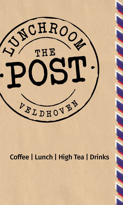

# Coffee | Lunch | High Tea | Drinks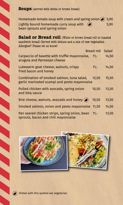**Soups** (served with white or brown bread)

Homemade tomato soup with cream and spring onion  $\odot$  5,90 Lightly bound homemade curry soup with  $\bigcirc$  5,90 bean sprouts and spring onion

**Salad or Bread roll** (White or brown bread roll or toasted sandwich bread) Served with lettuce and a mix of raw vegetables. Allergies? Please let us know!

|                                                                                           | Bread roll Salad |       |
|-------------------------------------------------------------------------------------------|------------------|-------|
| Carpaccio of bavette with truffle mayonnaise,<br>arugula and Parmesan cheese              | $11 -$           | 14,50 |
| Lukewarm goat cheese, walnuts, crispy<br>fried bacon and honey                            | $11,-$           | 14,50 |
| Combination of smoked salmon, tuna salad,<br>garlic marinated scampi and pesto mayonnaise | 12.50            | 15,50 |
| Pulled chicken with avocado, spring onion<br>and bbq-sauce                                | 10,50            | 13,50 |
| Brie cheese, walnuts, avocado and honey $\left(\right)$                                   | 10,50            | 13,50 |
| Smoked salmon, onion and pesto mayonnaise 11,50                                           |                  | 14,50 |
| Pan seared chicken strips, spring onion, bean<br>sprouts, bacon and chili mayonnaise      | $11 -$           | 13,50 |



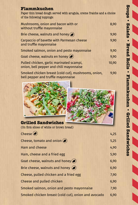### **Flammkuchen**

Paper thin bread dough served with arugula, creme fraiche and a choice of the following toppings:

| Mushrooms, onion and bacon with or<br>without truffle mayonnaise                    | 8,90  |
|-------------------------------------------------------------------------------------|-------|
| Brie cheese, walnuts and honey $\bigcirc$                                           | 9,90  |
| Carpaccio of bavette with Parmesan cheese<br>and truffle mayonnaise                 | 9,90  |
| Smoked salmon, onion and pesto mayonnaise                                           | 9,90  |
| Goat cheese, walnuts en honey $\left($                                              | 9,90  |
| Pulled chicken, garlic marinated scampi,<br>onion, bell pepper and chili mayonnaise | 10,90 |
| Smoked chicken breast (cold cut), mushrooms, onion,                                 | 9,90  |



(On firm slices of white or brown bread)

bell pepper and truffle mayonnaise

| Cheese                                                    | 4,25 |
|-----------------------------------------------------------|------|
| Cheese, tomato and onion $\langle \blacktriangle \rangle$ | 5,25 |
| Ham and cheese                                            | 4,90 |
| Ham, cheese and a fried egg                               | 5,90 |
| Goat cheese, walnuts and honey $\blacktriangleright$      | 6,90 |
| Brie cheese, walnuts and honey $\left(\right)$            | 6,90 |
| Cheese, pulled chicken and a fried egg                    | 7,90 |
| Cheese and pulled chicken                                 | 6,90 |
| Smoked salmon, onion and pesto mayonnaise                 | 7,90 |
| Smoked chicken breast (cold cut), onion and avocado       | 6,90 |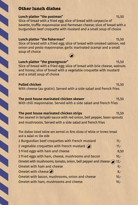### **Other lunch dishes**

#### **Lunch platter "the postman"** 15,50

Slice of bread with a fried egg; slice of bread with carpaccio of bavette, truffle mayonnaise and Parmesan cheese; slice of bread with a burgundian beef croquette with mustard and a small soup of choice

# **Lunch platter "the fisherman"** 15,50 Slice of bread with a fried egg; slice of bread with smoked salmon, red

onion and pesto mayonnaise; garlic marinated scampi and a small soup of choice

#### **Lunch platter "the greengrocer"** 15,50 Slice of bread with a fried egg; slice of bread with brie cheese, walnuts and honey; slice of bread with a vegetable croquette with mustard and a small soup of choice

**Pulled chicken** 15,50 With cheese (au gratin). Served with a side salad and french fries

#### **The post house marinated chicken skewer** 15,50 With chili mayonnaise. Served with a side salad and french fries

#### **The post house marinated chicken strips** 15,50 Pan seared in teriyaki-sauce with red onion, bell pepper, bean sprouts and mushrooms. Served with a side salad and french fries

The dishes listed below are served on firm slices of white or brown bread and a salad on the side 2 Burgundian beef croquettes with French mustard 11,-2 vegetable croquettes with French mustard  $\bigcirc$ 3 fried eggs with ham and cheese 8,50 3 fried eggs with ham, cheese, mushrooms and bacon 10,-Omelet with mushrooms, tomato, onion, bell pepper and cheese  $\odot$  12,-Omelet with ham and cheese 9,-Omelet with cheese  $\blacktriangleright$  8,-Omelet with bacon, mushrooms, onion and cheese 10,-Omelet with ham, mushrooms and cheese 10,-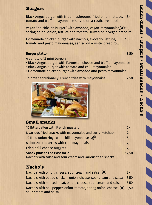### **Burgers**

Black Angus burger with fried mushrooms, fried onion, lettuce, 13, tomato and truffle mayonnaise served on a rustic bread roll

Vegan "no chicken burger" with avocado, vegan-mayonnaise, $\bigcirc$  13,spring onion, onion, lettuce and tomato, served on a vegan bread roll

Homemade chicken burger with nacho's, avocado, lettuce. 13,tomato and pesto mayonnaise, served on a rustic bread roll

#### **Burger platter** 13,50

A variety of 3 mini burgers:

- Black Angus burger with Parmesan cheese and truffle mayonnaise
- Black Angus burger with tomato and chili mayonnaise
- Homemade chickenburger with avocado and pesto mayonnaise

To order additionally: French fries with mayonnaise 2,50

### **Small snacks**

| 10 Bitterballen with French mustard                        | $6 -$ |
|------------------------------------------------------------|-------|
| 8 various fried snacks with mayonnaise and curry-ketchup   | $7 -$ |
| 10 fried onion rings with chili mayonnaise $\left($        | $6 -$ |
| 8 chorizo croquettes with chili mayonnaise                 | $7 -$ |
| Fried chili cheese nuggets                                 | $7 -$ |
| <b>Snack platter The Post for 2</b>                        | 12,50 |
| Nacho's with salsa and sour cream and various fried snacks |       |

### **Nacho's**

Nacho's with onion, cheese, sour cream and salsa  $\left($ Nacho's with pulled chicken, onion, cheese, sour cream and salsa 8,50 Nacho's with minced meat, onion, cheese, sour cream and salsa 8,50 Nacho's with bell pepper, onion, tomato, spring onion, cheese,  $\mathcal{D}$  8,50 sour cream and salsa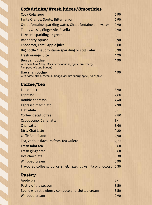# **Soft drinks/Fresh juices/Smoothies**

| Coca Cola, zero                                                                                             | 2,90  |
|-------------------------------------------------------------------------------------------------------------|-------|
| Fanta Orange, Sprite, Bitter lemon                                                                          | 2,90  |
| Chaudfontaine sparkling water, Chaudfontaine still water                                                    | 2,90  |
| Tonic, Cassis, Ginger Ale, Rivella                                                                          | 2,90  |
| Fuze tea sparkling or green                                                                                 | $3,-$ |
| Raspberry squash                                                                                            | 0,90  |
| Chocomel, Fristi, Apple juice                                                                               | 3,00  |
| Big bottle Chaudfontaine sparkling or still water                                                           | 5,90  |
| Fresh orange juice                                                                                          | 4,20  |
| Berry smoothie<br>with acai, blue berry, black berry, banana, apple, strawberry,<br>hemp protein and baobab | 4,90  |
| Hawaii smoothie<br>with passionfruit, coconut, mango, acerola cherry, apple, pineapple                      | 4,90  |

# **Coffee/Tea**

| Latte macchiato                                                | 3,90  |
|----------------------------------------------------------------|-------|
| <b>Espresso</b>                                                | 2,80  |
| Double espresso                                                | 4,40  |
| Espresso macchiato                                             | 2,90  |
| <b>Flat white</b>                                              | $3,-$ |
| Coffee, decaf coffee                                           | 2,80  |
| Cappuccino, Caffè latte                                        | $3,-$ |
| Chai Latte                                                     | 3,60  |
| Dirty Chai latte                                               | 4,20  |
| Caffè Americano                                                | 2,90  |
| Tea, various flavours from Tea Quiero                          | 2,70  |
| Fresh mint tea                                                 | 3,60  |
| Fresh ginger tea                                               | 3,60  |
| <b>Hot chocolate</b>                                           | 3,30  |
| Whipped cream                                                  | 0,90  |
| Flavoured coffee syrup: caramel, hazelnut, vanilla or chocolat | 0,30  |
| <b>Pastry</b>                                                  |       |
| Apple pie                                                      | $3,-$ |
| Pastry of the season                                           | 3.50  |

| Pastry of the season                            | 3.50 |
|-------------------------------------------------|------|
| Scone with strawberry compote and clotted cream | 3.50 |
| Whipped cream                                   | 0.90 |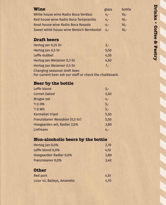| <b>Wine</b>                               | glass | bottle  |
|-------------------------------------------|-------|---------|
| White house wine Radio Boca Verdejo       | $4 -$ | $16 -$  |
| Red house wine Radio Boca Tempranillo     | $4 -$ | $16 -$  |
| Rosé house wine Radio Boca Rosado         | $4 -$ | $16. -$ |
| Sweet white house wine Bereich Bernkastel | $4 -$ | $16 -$  |

# **Draft beers**

| Hertog Jan 0,25 ltr                                                                      | 3.-   |
|------------------------------------------------------------------------------------------|-------|
| Hertog Jan 0,5 ltr                                                                       | 5,50  |
| Leffe dubbel                                                                             | 4,50  |
| Hertog Jan Weizener 0,3 ltr                                                              | 4,50  |
| Hertog Jan Weizener 0,5 ltr                                                              | $7 -$ |
| Changing seasonal draft beer.<br>For current beer ask our staff or check the chalkboard. |       |

## **Beer by the bottle**

| Leffe blond                      | $5 -$  |
|----------------------------------|--------|
| <b>Cornet Oaked</b>              | 5,50   |
| <b>Brugse zot</b>                | $4, -$ |
| 't IJ IPA                        | $5,-$  |
| 't IJ Wit                        | $5,-$  |
| <b>Karmeliet tripel</b>          | 5,50   |
| Franziskaner Weissbier (0,5 ltr) | 5,50   |
| Hoegaarden wit, Radler 2,0%      | 3,80   |
| Liefmans                         | $4, -$ |

# **Non-alcoholic beers by the bottle**

| Hertog Jan 0,0%               | 2.70 |
|-------------------------------|------|
| Leffe blond 0,0%              | 4.10 |
| <b>Hoegaarden Radler 0,0%</b> | 3,80 |
| Franziskaner 0,0%             | 3.40 |

# **Other**

| <b>Red port</b>             | 4,10 |
|-----------------------------|------|
| Licor 43, Baileys, Amaretto | 4,70 |